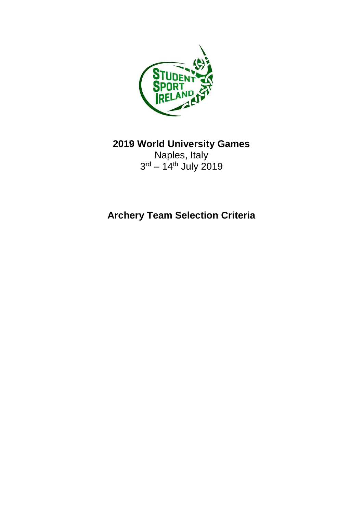

**2019 World University Games**

Naples, Italy 3<sup>rd</sup> – 14<sup>th</sup> July 2019

**Archery Team Selection Criteria**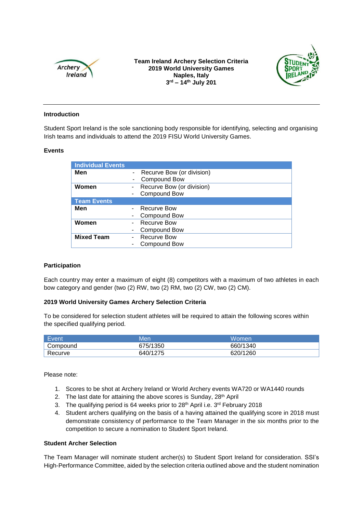

**Team Ireland Archery Selection Criteria 2019 World University Games Naples, Italy 3 rd – 14th July 201**



## **Introduction**

Student Sport Ireland is the sole sanctioning body responsible for identifying, selecting and organising Irish teams and individuals to attend the 2019 FISU World University Games.

## **Events**

| <b>Individual Events</b> |                             |
|--------------------------|-----------------------------|
| Men                      | - Recurve Bow (or division) |
|                          | Compound Bow<br>٠           |
| Women                    | Recurve Bow (or division)   |
|                          | <b>Compound Bow</b>         |
| <b>Team Events</b>       |                             |
| Men                      | Recurve Bow                 |
|                          | Compound Bow                |
| Women                    | Recurve Bow                 |
|                          | Compound Bow                |
| <b>Mixed Team</b>        | <b>Recurve Bow</b>          |
|                          | Compound Bow                |
|                          |                             |

## **Participation**

Each country may enter a maximum of eight (8) competitors with a maximum of two athletes in each bow category and gender (two (2) RW, two (2) RM, two (2) CW, two (2) CM).

# **2019 World University Games Archery Selection Criteria**

To be considered for selection student athletes will be required to attain the following scores within the specified qualifying period.

| Event    | Men      | Women    |
|----------|----------|----------|
| Compound | 675/1350 | 660/1340 |
| Recurve  | 640/1275 | 620/1260 |

Please note:

- 1. Scores to be shot at Archery Ireland or World Archery events WA720 or WA1440 rounds
- 2. The last date for attaining the above scores is Sunday, 28<sup>th</sup> April
- 3. The qualifying period is 64 weeks prior to 28<sup>th</sup> April i.e. 3<sup>rd</sup> February 2018
- 4. Student archers qualifying on the basis of a having attained the qualifying score in 2018 must demonstrate consistency of performance to the Team Manager in the six months prior to the competition to secure a nomination to Student Sport Ireland.

## **Student Archer Selection**

The Team Manager will nominate student archer(s) to Student Sport Ireland for consideration. SSI's High-Performance Committee, aided by the selection criteria outlined above and the student nomination